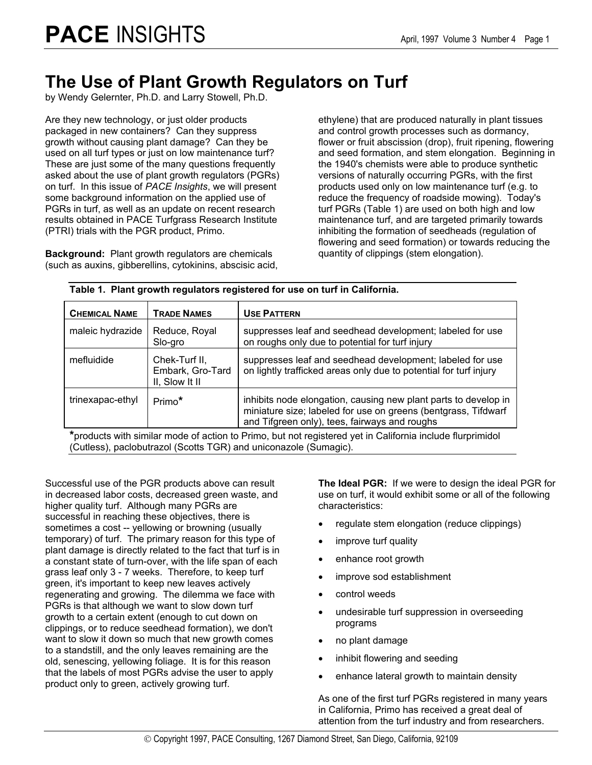### **The Use of Plant Growth Regulators on Turf**

by Wendy Gelernter, Ph.D. and Larry Stowell, Ph.D.

Are they new technology, or just older products packaged in new containers? Can they suppress growth without causing plant damage? Can they be used on all turf types or just on low maintenance turf? These are just some of the many questions frequently asked about the use of plant growth regulators (PGRs) on turf. In this issue of *PACE Insights*, we will present some background information on the applied use of PGRs in turf, as well as an update on recent research results obtained in PACE Turfgrass Research Institute (PTRI) trials with the PGR product, Primo.

**Background:** Plant growth regulators are chemicals (such as auxins, gibberellins, cytokinins, abscisic acid, ethylene) that are produced naturally in plant tissues and control growth processes such as dormancy, flower or fruit abscission (drop), fruit ripening, flowering and seed formation, and stem elongation. Beginning in the 1940's chemists were able to produce synthetic versions of naturally occurring PGRs, with the first products used only on low maintenance turf (e.g. to reduce the frequency of roadside mowing). Today's turf PGRs (Table 1) are used on both high and low maintenance turf, and are targeted primarily towards inhibiting the formation of seedheads (regulation of flowering and seed formation) or towards reducing the quantity of clippings (stem elongation).

| ישטוריטיווי די סטוריטיווי פוסטאטוניס וישטעריט פון מאט אוייר אינטייני ווי די סטוריטיווי |                                                     |                                                                                                                                                                                    |  |  |
|----------------------------------------------------------------------------------------|-----------------------------------------------------|------------------------------------------------------------------------------------------------------------------------------------------------------------------------------------|--|--|
| <b>CHEMICAL NAME</b>                                                                   | <b>TRADE NAMES</b>                                  | <b>USE PATTERN</b>                                                                                                                                                                 |  |  |
| maleic hydrazide                                                                       | Reduce, Royal<br>Slo-gro                            | suppresses leaf and seedhead development; labeled for use<br>on roughs only due to potential for turf injury                                                                       |  |  |
| mefluidide                                                                             | Chek-Turf II,<br>Embark, Gro-Tard<br>II, Slow It II | suppresses leaf and seedhead development; labeled for use<br>on lightly trafficked areas only due to potential for turf injury                                                     |  |  |
| trinexapac-ethyl                                                                       | Primo*                                              | inhibits node elongation, causing new plant parts to develop in<br>miniature size; labeled for use on greens (bentgrass, Tifdwarf<br>and Tifgreen only), tees, fairways and roughs |  |  |
| ۰<br>.                                                                                 |                                                     |                                                                                                                                                                                    |  |  |

#### **Table 1. Plant growth regulators registered for use on turf in California.**

**\***products with similar mode of action to Primo, but not registered yet in California include flurprimidol (Cutless), paclobutrazol (Scotts TGR) and uniconazole (Sumagic).

Successful use of the PGR products above can result in decreased labor costs, decreased green waste, and higher quality turf. Although many PGRs are successful in reaching these objectives, there is sometimes a cost -- yellowing or browning (usually temporary) of turf. The primary reason for this type of plant damage is directly related to the fact that turf is in a constant state of turn-over, with the life span of each grass leaf only 3 - 7 weeks. Therefore, to keep turf green, it's important to keep new leaves actively regenerating and growing. The dilemma we face with PGRs is that although we want to slow down turf growth to a certain extent (enough to cut down on clippings, or to reduce seedhead formation), we don't want to slow it down so much that new growth comes to a standstill, and the only leaves remaining are the old, senescing, yellowing foliage. It is for this reason that the labels of most PGRs advise the user to apply product only to green, actively growing turf.

**The Ideal PGR:** If we were to design the ideal PGR for use on turf, it would exhibit some or all of the following characteristics:

- regulate stem elongation (reduce clippings)
- improve turf quality
- enhance root growth
- improve sod establishment
- control weeds
- undesirable turf suppression in overseeding programs
- no plant damage
- inhibit flowering and seeding
- enhance lateral growth to maintain density

As one of the first turf PGRs registered in many years in California, Primo has received a great deal of attention from the turf industry and from researchers.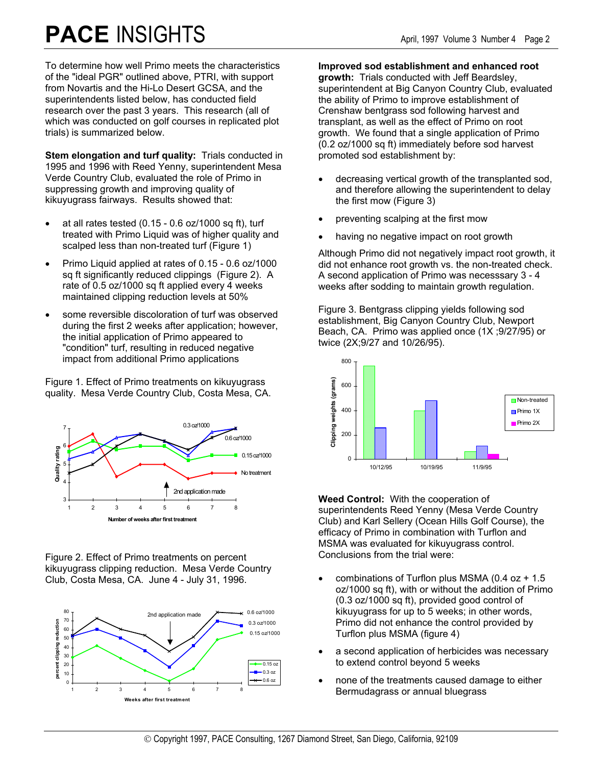# **PACE** INSIGHTS April, 1997 Volume 3 Number 4 Page 2

To determine how well Primo meets the characteristics of the "ideal PGR" outlined above, PTRI, with support from Novartis and the Hi-Lo Desert GCSA, and the superintendents listed below, has conducted field research over the past 3 years. This research (all of which was conducted on golf courses in replicated plot trials) is summarized below.

**Stem elongation and turf quality:** Trials conducted in 1995 and 1996 with Reed Yenny, superintendent Mesa Verde Country Club, evaluated the role of Primo in suppressing growth and improving quality of kikuyugrass fairways. Results showed that:

- at all rates tested  $(0.15 0.6)$  oz/1000 sq ft), turf treated with Primo Liquid was of higher quality and scalped less than non-treated turf (Figure 1)
- Primo Liquid applied at rates of 0.15 0.6 oz/1000 sq ft significantly reduced clippings (Figure 2). A rate of 0.5 oz/1000 sq ft applied every 4 weeks maintained clipping reduction levels at 50%
- some reversible discoloration of turf was observed during the first 2 weeks after application; however, the initial application of Primo appeared to "condition" turf, resulting in reduced negative impact from additional Primo applications

Figure 1. Effect of Primo treatments on kikuyugrass quality. Mesa Verde Country Club, Costa Mesa, CA.



Figure 2. Effect of Primo treatments on percent kikuyugrass clipping reduction. Mesa Verde Country Club, Costa Mesa, CA. June 4 - July 31, 1996.



**Improved sod establishment and enhanced root growth:** Trials conducted with Jeff Beardsley, superintendent at Big Canyon Country Club, evaluated the ability of Primo to improve establishment of Crenshaw bentgrass sod following harvest and transplant, as well as the effect of Primo on root growth. We found that a single application of Primo (0.2 oz/1000 sq ft) immediately before sod harvest promoted sod establishment by:

- decreasing vertical growth of the transplanted sod, and therefore allowing the superintendent to delay the first mow (Figure 3)
- preventing scalping at the first mow
- having no negative impact on root growth

Although Primo did not negatively impact root growth, it did not enhance root growth vs. the non-treated check. A second application of Primo was necesssary 3 - 4 weeks after sodding to maintain growth regulation.

Figure 3. Bentgrass clipping yields following sod establishment, Big Canyon Country Club, Newport Beach, CA. Primo was applied once (1X ;9/27/95) or twice (2X;9/27 and 10/26/95).



**Weed Control:** With the cooperation of superintendents Reed Yenny (Mesa Verde Country Club) and Karl Sellery (Ocean Hills Golf Course), the efficacy of Primo in combination with Turflon and MSMA was evaluated for kikuyugrass control. Conclusions from the trial were:

- combinations of Turflon plus MSMA (0.4 oz  $+$  1.5 oz/1000 sq ft), with or without the addition of Primo (0.3 oz/1000 sq ft), provided good control of kikuyugrass for up to 5 weeks; in other words, Primo did not enhance the control provided by Turflon plus MSMA (figure 4)
- a second application of herbicides was necessary to extend control beyond 5 weeks
- none of the treatments caused damage to either Bermudagrass or annual bluegrass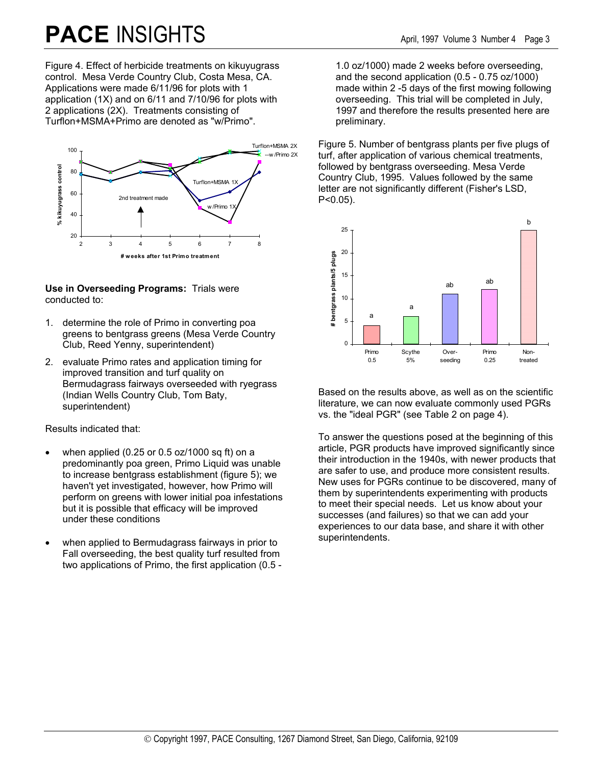# **PACE** INSIGHTS April, 1997 Volume 3 Number 4 Page 3

Figure 4. Effect of herbicide treatments on kikuyugrass control. Mesa Verde Country Club, Costa Mesa, CA. Applications were made 6/11/96 for plots with 1 application (1X) and on 6/11 and 7/10/96 for plots with 2 applications (2X). Treatments consisting of Turflon+MSMA+Primo are denoted as "w/Primo".



#### **Use in Overseeding Programs:** Trials were conducted to:

- 1. determine the role of Primo in converting poa greens to bentgrass greens (Mesa Verde Country Club, Reed Yenny, superintendent)
- 2. evaluate Primo rates and application timing for improved transition and turf quality on Bermudagrass fairways overseeded with ryegrass (Indian Wells Country Club, Tom Baty, superintendent)

Results indicated that:

- when applied (0.25 or  $0.5$  oz/1000 sq ft) on a predominantly poa green, Primo Liquid was unable to increase bentgrass establishment (figure 5); we haven't yet investigated, however, how Primo will perform on greens with lower initial poa infestations but it is possible that efficacy will be improved under these conditions
- when applied to Bermudagrass fairways in prior to Fall overseeding, the best quality turf resulted from two applications of Primo, the first application (0.5 -

1.0 oz/1000) made 2 weeks before overseeding, and the second application (0.5 - 0.75 oz/1000) made within 2 -5 days of the first mowing following overseeding. This trial will be completed in July, 1997 and therefore the results presented here are preliminary.

Figure 5. Number of bentgrass plants per five plugs of turf, after application of various chemical treatments, followed by bentgrass overseeding. Mesa Verde Country Club, 1995. Values followed by the same letter are not significantly different (Fisher's LSD, P<0.05).



Based on the results above, as well as on the scientific literature, we can now evaluate commonly used PGRs vs. the "ideal PGR" (see Table 2 on page 4).

To answer the questions posed at the beginning of this article, PGR products have improved significantly since their introduction in the 1940s, with newer products that are safer to use, and produce more consistent results. New uses for PGRs continue to be discovered, many of them by superintendents experimenting with products to meet their special needs. Let us know about your successes (and failures) so that we can add your experiences to our data base, and share it with other superintendents.